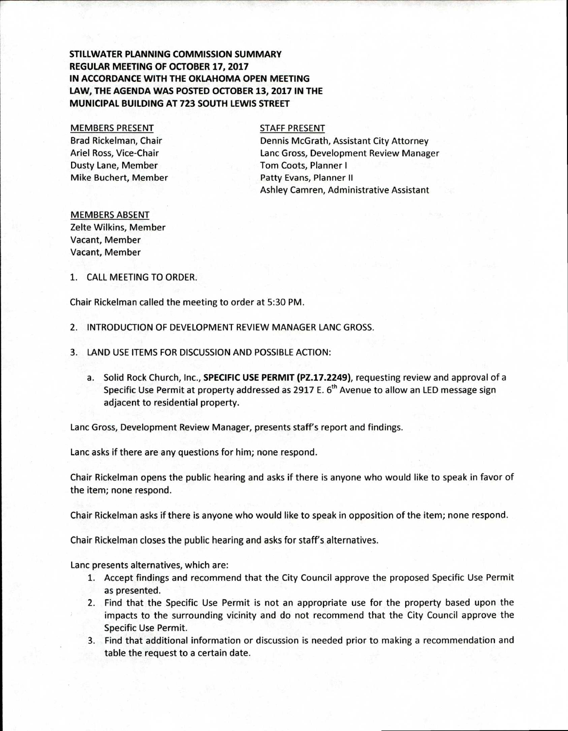## **STILLWATER PLANNING COMMISSION SUMMARY REGULAR MEETING OF OCTOBER 17, 2017 IN ACCORDANCE WITH THE OKLAHOMA OPEN MEETING LAW, THE AGENDA WAS POSTED OCTOBER 13, 2017 IN THE MUNICIPAL BUILDING AT 723 SOUTH LEWIS STREET**

#### MEMBERS PRESENT

Brad Rickelman, Chair Ariel Ross, Vice-Chair Dusty Lane, Member Mike Buchert, Member

#### STAFF PRESENT

Dennis McGrath, Assistant City Attorney Lanc Gross, Development Review Manager Tom Coots, Planner I Patty Evans, Planner II Ashley Camren, Administrative Assistant

# MEMBERS ABSENT Zelte Wilkins, Member Vacant, Member Vacant, Member

1. CALL MEETING TO ORDER.

Chair Rickelman called the meeting to order at 5:30 PM.

- 2. INTRODUCTION OF DEVELOPMENT REVIEW MANAGER LANC GROSS.
- 3. LAND USE ITEMS FOR DISCUSSION AND POSSIBLE ACTION:
	- a. Solid Rock Church, Inc., **SPECIFIC USE PERMIT (PZ.17.2249),** requesting review and approval of a Specific Use Permit at property addressed as 2917 E.  $6<sup>th</sup>$  Avenue to allow an LED message sign adjacent to residential property.

Lanc Gross, Development Review Manager, presents staff's report and findings.

Lanc asks if there are any questions for him; none respond.

Chair Rickelman opens the public hearing and asks if there is anyone who would like to speak in favor of the item; none respond.

Chair Rickelman asks if there is anyone who would like to speak in opposition of the item; none respond.

Chair Rickelman closes the public hearing and asks for staff's alternatives.

Lanc presents alternatives, which are:

- 1. Accept findings and recommend that the City Council approve the proposed Specific Use Permit as presented.
- 2. Find that the Specific Use Permit is not an appropriate use for the property based upon the impacts to the surrounding vicinity and do not recommend that the City Council approve the Specific Use Permit.
- 3. Find that additional information or discussion is needed prior to making a recommendation and table the request to a certain date.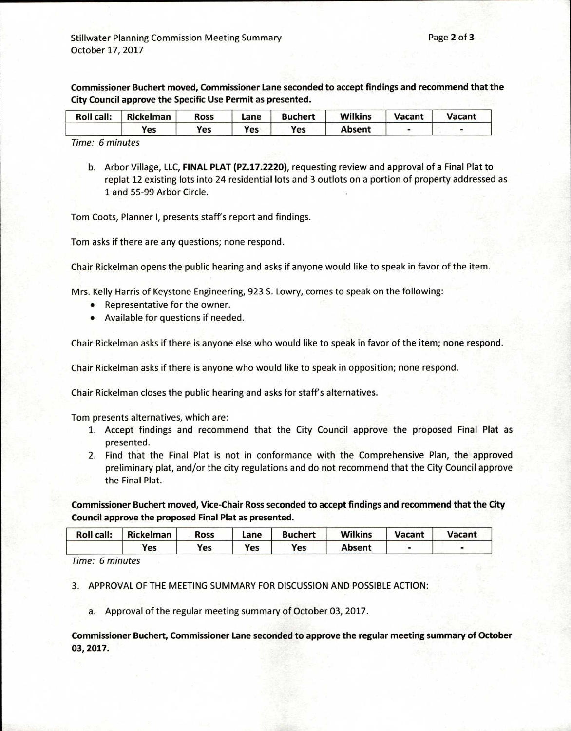**Commissioner Buchert moved, Commissioner Lane seconded to accept findings and recommend that the City Council approve the Specific Use Permit as presented.** 

| <b>Roll call:</b> | Rickelman | <b>Ross</b> | Lane | <b>Buchert</b> | <b>Wilkins</b> | Vacant | <b>Vacant</b> |
|-------------------|-----------|-------------|------|----------------|----------------|--------|---------------|
|                   | Yes       | Yes         | Yes  | Yes            | <b>Absent</b>  |        |               |

Time: 6 minutes

b. Arbor Village, LLC, **FINAL PLAT (P2.17.2220),** requesting review and approval of a Final Plat to replat 12 existing lots into 24 residential lots and 3 outlots on a portion of property addressed as 1 and 55-99 Arbor Circle.

Tom Coots, Planner I, presents staff's report and findings.

Tom asks if there are any questions; none respond.

Chair Rickelman opens the public hearing and asks if anyone would like to speak in favor of the item.

Mrs. Kelly Harris of Keystone Engineering, 923 S. Lowry, comes to speak on the following:

- Representative for the owner.
- Available for questions if needed.

Chair Rickelman asks if there is anyone else who would like to speak in favor of the item; none respond.

Chair Rickelman asks if there is anyone who would like to speak in opposition; none respond.

Chair Rickelman closes the public hearing and asks for staff's alternatives.

Tom presents alternatives, which are:

- 1. Accept findings and recommend that the City Council approve the proposed Final Plat as presented.
- 2. Find that the Final Plat is not in conformance with the Comprehensive Plan, the approved preliminary plat, and/or the city regulations and do not recommend that the City Council approve the Final Plat.

**Commissioner Buchert moved, Vice-Chair Ross seconded to accept findings and recommend that the City Council approve the proposed Final Plat as presented.** 

| <b>Roll call:</b> | Rickelman | <b>Ross</b> | Lane | <b>Buchert</b> | <b>Wilkins</b> | Vacant | Vacant |
|-------------------|-----------|-------------|------|----------------|----------------|--------|--------|
|                   | Yes       | Yes         | Yes  | Yes            | Absent         |        |        |

Time: 6 minutes

3. APPROVAL OF THE MEETING SUMMARY FOR DISCUSSION AND POSSIBLE ACTION:

a. Approval of the regular meeting summary of October 03, 2017.

**Commissioner Buchert, Commissioner Lane seconded to approve the regular meeting summary of October 03, 2017.**